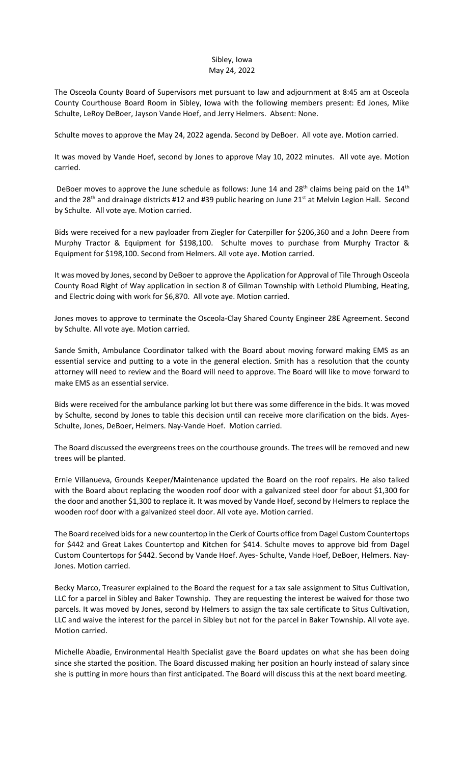## Sibley, Iowa May 24, 2022

The Osceola County Board of Supervisors met pursuant to law and adjournment at 8:45 am at Osceola County Courthouse Board Room in Sibley, Iowa with the following members present: Ed Jones, Mike Schulte, LeRoy DeBoer, Jayson Vande Hoef, and Jerry Helmers. Absent: None.

Schulte moves to approve the May 24, 2022 agenda. Second by DeBoer. All vote aye. Motion carried.

It was moved by Vande Hoef, second by Jones to approve May 10, 2022 minutes. All vote aye. Motion carried.

DeBoer moves to approve the June schedule as follows: June 14 and  $28<sup>th</sup>$  claims being paid on the  $14<sup>th</sup>$ and the 28<sup>th</sup> and drainage districts #12 and #39 public hearing on June 21<sup>st</sup> at Melvin Legion Hall. Second by Schulte. All vote aye. Motion carried.

Bids were received for a new payloader from Ziegler for Caterpiller for \$206,360 and a John Deere from Murphy Tractor & Equipment for \$198,100. Schulte moves to purchase from Murphy Tractor & Equipment for \$198,100. Second from Helmers. All vote aye. Motion carried.

It was moved by Jones, second by DeBoer to approve the Application for Approval of Tile Through Osceola County Road Right of Way application in section 8 of Gilman Township with Lethold Plumbing, Heating, and Electric doing with work for \$6,870. All vote aye. Motion carried.

Jones moves to approve to terminate the Osceola-Clay Shared County Engineer 28E Agreement. Second by Schulte. All vote aye. Motion carried.

Sande Smith, Ambulance Coordinator talked with the Board about moving forward making EMS as an essential service and putting to a vote in the general election. Smith has a resolution that the county attorney will need to review and the Board will need to approve. The Board will like to move forward to make EMS as an essential service.

Bids were received for the ambulance parking lot but there was some difference in the bids. It was moved by Schulte, second by Jones to table this decision until can receive more clarification on the bids. Ayes-Schulte, Jones, DeBoer, Helmers. Nay-Vande Hoef. Motion carried.

The Board discussed the evergreens trees on the courthouse grounds. The trees will be removed and new trees will be planted.

Ernie Villanueva, Grounds Keeper/Maintenance updated the Board on the roof repairs. He also talked with the Board about replacing the wooden roof door with a galvanized steel door for about \$1,300 for the door and another \$1,300 to replace it. It was moved by Vande Hoef, second by Helmers to replace the wooden roof door with a galvanized steel door. All vote aye. Motion carried.

The Board received bids for a new countertop in the Clerk of Courts office from Dagel Custom Countertops for \$442 and Great Lakes Countertop and Kitchen for \$414. Schulte moves to approve bid from Dagel Custom Countertops for \$442. Second by Vande Hoef. Ayes- Schulte, Vande Hoef, DeBoer, Helmers. Nay-Jones. Motion carried.

Becky Marco, Treasurer explained to the Board the request for a tax sale assignment to Situs Cultivation, LLC for a parcel in Sibley and Baker Township. They are requesting the interest be waived for those two parcels. It was moved by Jones, second by Helmers to assign the tax sale certificate to Situs Cultivation, LLC and waive the interest for the parcel in Sibley but not for the parcel in Baker Township. All vote aye. Motion carried.

Michelle Abadie, Environmental Health Specialist gave the Board updates on what she has been doing since she started the position. The Board discussed making her position an hourly instead of salary since she is putting in more hours than first anticipated. The Board will discuss this at the next board meeting.